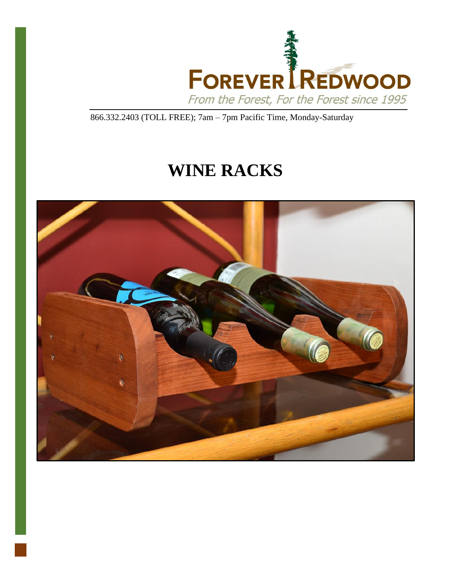

866.332.2403 (TOLL FREE); 7am – 7pm Pacific Time, Monday-Saturday

# **WINE RACKS**

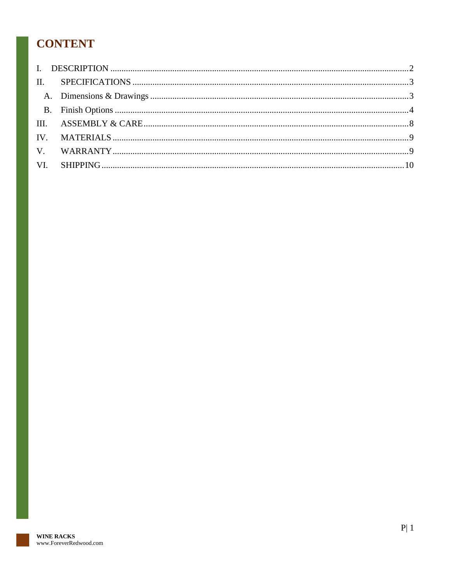# **CONTENT**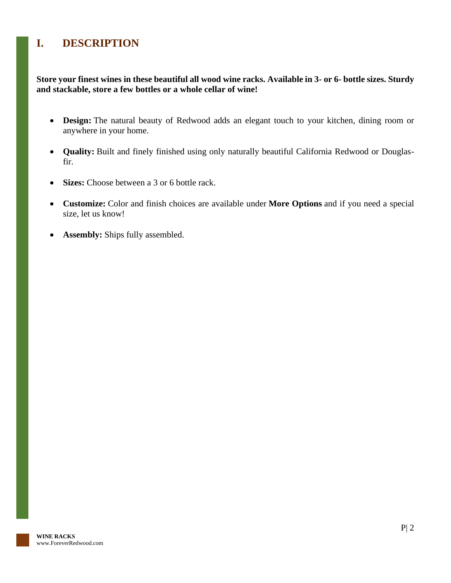# <span id="page-2-0"></span>**I. DESCRIPTION**

**Store your finest wines in these beautiful all wood wine racks. Available in 3- or 6- bottle sizes. Sturdy and stackable, store a few bottles or a whole cellar of wine!**

- **Design:** The natural beauty of Redwood adds an elegant touch to your kitchen, dining room or anywhere in your home.
- **Quality:** Built and finely finished using only naturally beautiful California Redwood or Douglasfir.
- **Sizes:** Choose between a 3 or 6 bottle rack.
- **Customize:** Color and finish choices are available under **More Options** and if you need a special size, let us know!
- **Assembly:** Ships fully assembled.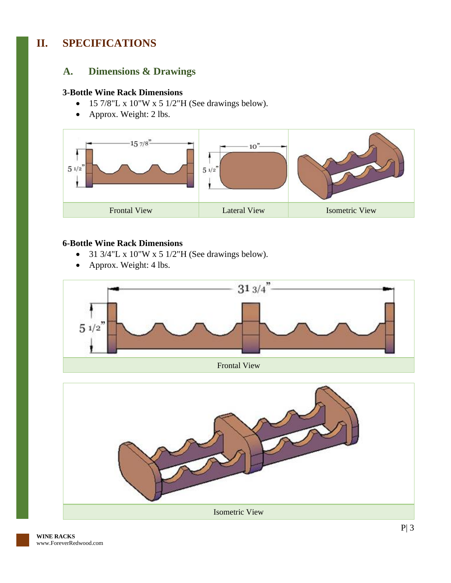# <span id="page-3-1"></span><span id="page-3-0"></span>**II. SPECIFICATIONS**

#### **A. Dimensions & Drawings**

#### **3-Bottle Wine Rack Dimensions**

- 15 7/8"L x 10"W x 5 1/2"H (See drawings below).
- Approx. Weight: 2 lbs.



#### **6-Bottle Wine Rack Dimensions**

- 31  $3/4$ "L x  $10$ "W x 5  $1/2$ "H (See drawings below).
- Approx. Weight: 4 lbs.



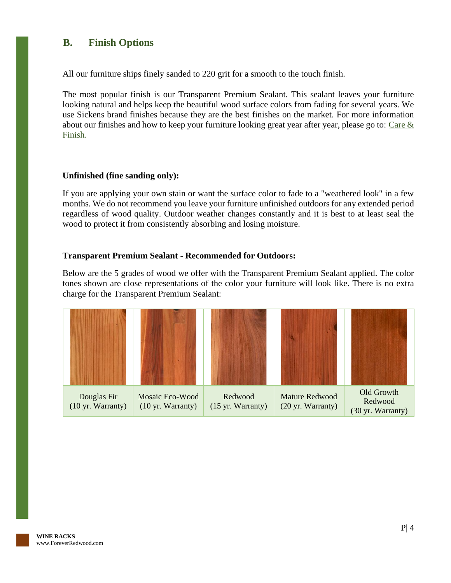#### <span id="page-4-0"></span>**B. Finish Options**

All our furniture ships finely sanded to 220 grit for a smooth to the touch finish.

The most popular finish is our Transparent Premium Sealant. This sealant leaves your furniture looking natural and helps keep the beautiful wood surface colors from fading for several years. We use Sickens brand finishes because they are the best finishes on the market. For more information about our finishes and how to keep your furniture looking great year after year, please go to: [Care &](https://www.foreverredwood.com/redwood-furniture/care-finish/)  [Finish.](https://www.foreverredwood.com/redwood-furniture/care-finish/)

#### **Unfinished (fine sanding only):**

If you are applying your own stain or want the surface color to fade to a "weathered look" in a few months. We do not recommend you leave your furniture unfinished outdoors for any extended period regardless of wood quality. Outdoor weather changes constantly and it is best to at least seal the wood to protect it from consistently absorbing and losing moisture.

#### **Transparent Premium Sealant - Recommended for Outdoors:**

Below are the 5 grades of wood we offer with the Transparent Premium Sealant applied. The color tones shown are close representations of the color your furniture will look like. There is no extra charge for the Transparent Premium Sealant:

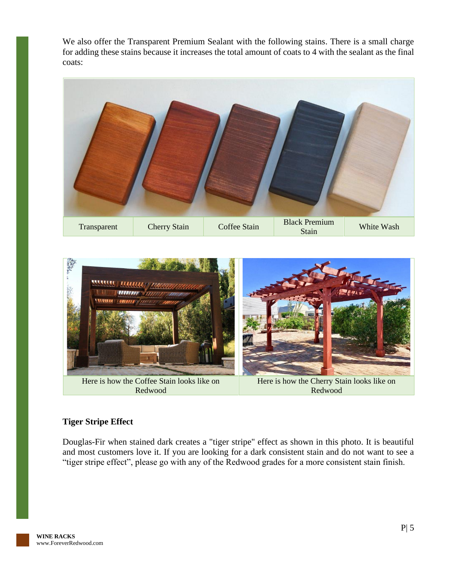We also offer the Transparent Premium Sealant with the following stains. There is a small charge for adding these stains because it increases the total amount of coats to 4 with the sealant as the final coats:





#### **Tiger Stripe Effect**

Douglas-Fir when stained dark creates a "tiger stripe" effect as shown in this photo. It is beautiful and most customers love it. If you are looking for a dark consistent stain and do not want to see a "tiger stripe effect", please go with any of the Redwood grades for a more consistent stain finish.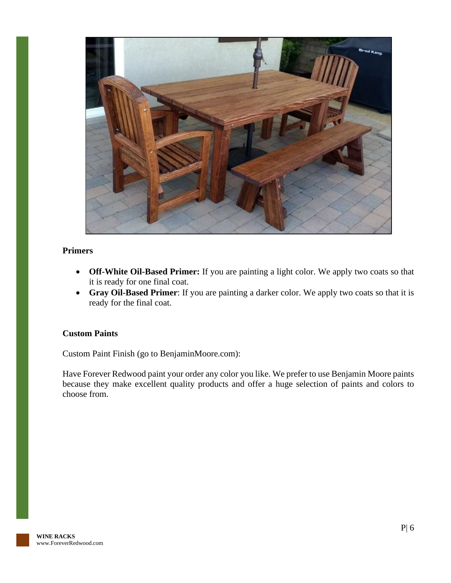

#### **Primers**

- **Off-White Oil-Based Primer:** If you are painting a light color. We apply two coats so that it is ready for one final coat.
- **Gray Oil-Based Primer**: If you are painting a darker color. We apply two coats so that it is ready for the final coat.

#### **Custom Paints**

Custom Paint Finish (go to BenjaminMoore.com):

Have Forever Redwood paint your order any color you like. We prefer to use Benjamin Moore paints because they make excellent quality products and offer a huge selection of paints and colors to choose from.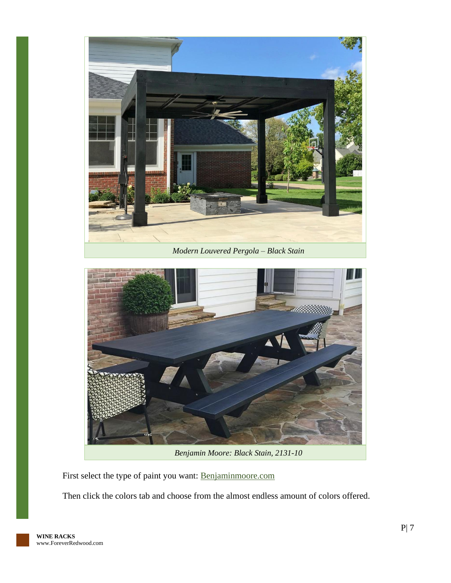



*Benjamin Moore: Black Stain, 2131-10*

First select the type of paint you want: [Benjaminmoore.com](http://www.benjaminmoore.com/)

Then click the colors tab and choose from the almost endless amount of colors offered.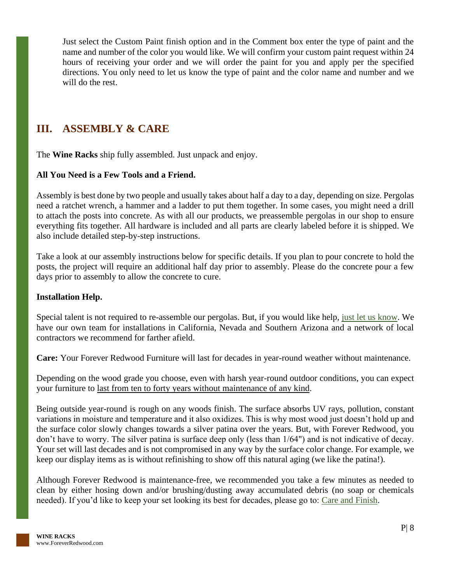Just select the Custom Paint finish option and in the Comment box enter the type of paint and the name and number of the color you would like. We will confirm your custom paint request within 24 hours of receiving your order and we will order the paint for you and apply per the specified directions. You only need to let us know the type of paint and the color name and number and we will do the rest.

### <span id="page-8-0"></span>**III. ASSEMBLY & CARE**

The **Wine Racks** ship fully assembled. Just unpack and enjoy.

#### **All You Need is a Few Tools and a Friend.**

Assembly is best done by two people and usually takes about half a day to a day, depending on size. Pergolas need a ratchet wrench, a hammer and a ladder to put them together. In some cases, you might need a drill to attach the posts into concrete. As with all our products, we preassemble pergolas in our shop to ensure everything fits together. All hardware is included and all parts are clearly labeled before it is shipped. We also include detailed step-by-step instructions.

Take a look at our assembly instructions below for specific details. If you plan to pour concrete to hold the posts, the project will require an additional half day prior to assembly. Please do the concrete pour a few days prior to assembly to allow the concrete to cure.

#### **Installation Help.**

Special talent is not required to re-assemble our pergolas. But, if you would like help, [just let us know.](https://www.foreverredwood.com/information/contact) We have our own team for installations in California, Nevada and Southern Arizona and a network of local contractors we recommend for farther afield.

**Care:** Your Forever Redwood Furniture will last for decades in year-round weather without maintenance.

Depending on the wood grade you choose, even with harsh year-round outdoor conditions, you can expect your furniture to last from ten to forty years without maintenance of any kind.

Being outside year-round is rough on any woods finish. The surface absorbs UV rays, pollution, constant variations in moisture and temperature and it also oxidizes. This is why most wood just doesn't hold up and the surface color slowly changes towards a silver patina over the years. But, with Forever Redwood, you don't have to worry. The silver patina is surface deep only (less than 1/64") and is not indicative of decay. Your set will last decades and is not compromised in any way by the surface color change. For example, we keep our display items as is without refinishing to show off this natural aging (we like the patina!).

Although Forever Redwood is maintenance-free, we recommended you take a few minutes as needed to clean by either hosing down and/or brushing/dusting away accumulated debris (no soap or chemicals needed). If you'd like to keep your set looking its best for decades, please go to: [Care and](https://www.foreverredwood.com/redwood-furniture/care-finish) Finish.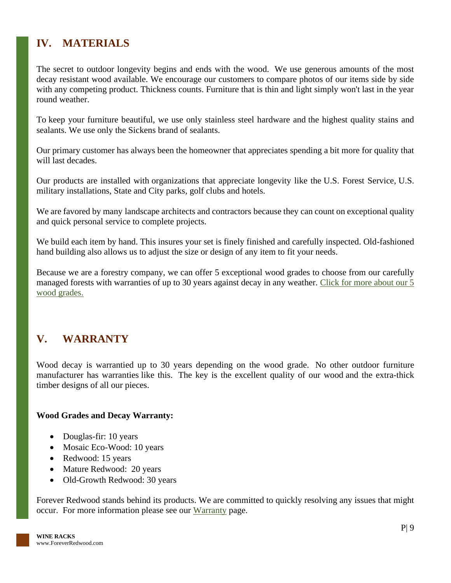# <span id="page-9-0"></span>**IV. MATERIALS**

The secret to outdoor longevity begins and ends with the wood. We use generous amounts of the most decay resistant wood available. We encourage our customers to compare photos of our items side by side with any competing product. Thickness counts. Furniture that is thin and light simply won't last in the year round weather.

To keep your furniture beautiful, we use only stainless steel hardware and the highest quality stains and sealants. We use only the Sickens brand of sealants.

Our primary customer has always been the homeowner that appreciates spending a bit more for quality that will last decades.

Our products are installed with organizations that appreciate longevity like the U.S. Forest Service, U.S. military installations, State and City parks, golf clubs and hotels.

We are favored by many landscape architects and contractors because they can count on exceptional quality and quick personal service to complete projects.

We build each item by hand. This insures your set is finely finished and carefully inspected. Old-fashioned hand building also allows us to adjust the size or design of any item to fit your needs.

Because we are a forestry company, we can offer 5 exceptional wood grades to choose from our carefully managed forests with warranties of up to 30 years against decay in any weather. Click for more about our 5 [wood grades.](https://www.foreverredwood.com/redwood-furniture/wood-grade/)

## <span id="page-9-1"></span>**V. WARRANTY**

Wood decay is warrantied up to 30 years depending on the wood grade. No other outdoor furniture manufacturer has warranties like this. The key is the excellent quality of our wood and the extra-thick timber designs of all our pieces.

#### **Wood Grades and Decay Warranty:**

- Douglas-fir: 10 years
- Mosaic Eco-Wood: 10 years
- Redwood: 15 years
- Mature Redwood: 20 years
- Old-Growth Redwood: 30 years

Forever Redwood stands behind its products. We are committed to quickly resolving any issues that might occur. For more information please see our [Warranty](https://www.foreverredwood.com/redwood-furniture/warranty) page.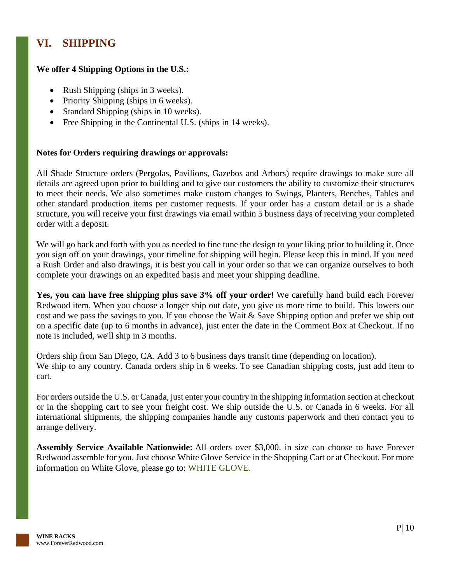# <span id="page-10-0"></span>**VI. SHIPPING**

#### **We offer 4 Shipping Options in the U.S.:**

- Rush Shipping (ships in 3 weeks).
- Priority Shipping (ships in 6 weeks).
- Standard Shipping (ships in 10 weeks).
- Free Shipping in the Continental U.S. (ships in 14 weeks).

#### **Notes for Orders requiring drawings or approvals:**

All Shade Structure orders (Pergolas, Pavilions, Gazebos and Arbors) require drawings to make sure all details are agreed upon prior to building and to give our customers the ability to customize their structures to meet their needs. We also sometimes make custom changes to Swings, Planters, Benches, Tables and other standard production items per customer requests. If your order has a custom detail or is a shade structure, you will receive your first drawings via email within 5 business days of receiving your completed order with a deposit.

We will go back and forth with you as needed to fine tune the design to your liking prior to building it. Once you sign off on your drawings, your timeline for shipping will begin. Please keep this in mind. If you need a Rush Order and also drawings, it is best you call in your order so that we can organize ourselves to both complete your drawings on an expedited basis and meet your shipping deadline.

**Yes, you can have free shipping plus save 3% off your order!** We carefully hand build each Forever Redwood item. When you choose a longer ship out date, you give us more time to build. This lowers our cost and we pass the savings to you. If you choose the Wait & Save Shipping option and prefer we ship out on a specific date (up to 6 months in advance), just enter the date in the Comment Box at Checkout. If no note is included, we'll ship in 3 months.

Orders ship from San Diego, CA. Add 3 to 6 business days transit time (depending on location). We ship to any country. Canada orders ship in 6 weeks. To see Canadian shipping costs, just add item to cart.

For orders outside the U.S. or Canada, just enter your country in the shipping information section at checkout or in the shopping cart to see your freight cost. We ship outside the U.S. or Canada in 6 weeks. For all international shipments, the shipping companies handle any customs paperwork and then contact you to arrange delivery.

**Assembly Service Available Nationwide:** All orders over \$3,000. in size can choose to have Forever Redwood assemble for you. Just choose White Glove Service in the Shopping Cart or at Checkout. For more information on White Glove, please go to: [WHITE GLOVE.](https://www.foreverredwood.com/white-glove/)